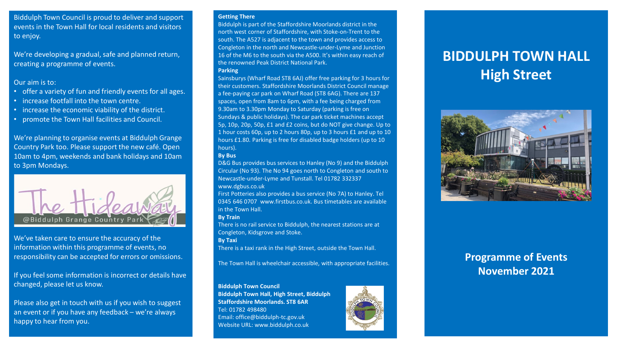Biddulph Town Council is proud to deliver and support events in the Town Hall for local residents and visitors to enjoy.

We're developing a gradual, safe and planned return, creating a programme of events.

#### Our aim is to:

- offer a variety of fun and friendly events for all ages.
- increase footfall into the town centre.
- increase the economic viability of the district.
- promote the Town Hall facilities and Council.

We're planning to organise events at Biddulph Grange Country Park too. Please support the new café. Open 10am to 4pm, weekends and bank holidays and 10am to 3pm Mondays.



We've taken care to ensure the accuracy of the information within this programme of events, no responsibility can be accepted for errors or omissions.

If you feel some information is incorrect or details have changed, please let us know.

Please also get in touch with us if you wish to suggest an event or if you have any feedback – we're always happy to hear from you.

#### **Getting There**

Biddulph is part of the Staffordshire Moorlands district in the north west corner of Staffordshire, with Stoke-on-Trent to the south. The A527 is adjacent to the town and provides access to Congleton in the north and Newcastle-under-Lyme and Junction 16 of the M6 to the south via the A500. It's within easy reach of the renowned Peak District National Park. **Parking** 

Sainsburys (Wharf Road ST8 6AJ) offer free parking for 3 hours for their customers. Staffordshire Moorlands District Council manage a fee-paying car park on Wharf Road (ST8 6AG). There are 137 spaces, open from 8am to 6pm, with a fee being charged from 9.30am to 3.30pm Monday to Saturday (parking is free on Sundays & public holidays). The car park ticket machines accept 5p, 10p, 20p, 50p, £1 and £2 coins, but do NOT give change. Up to 1 hour costs 60p, up to 2 hours 80p, up to 3 hours £1 and up to 10 hours £1.80. Parking is free for disabled badge holders (up to 10 hours).

#### **By Bus**

D&G Bus provides bus services to Hanley (No 9) and the Biddulph Circular (No 93). The No 94 goes north to Congleton and south to Newcastle-under-Lyme and Tunstall. Tel 01782 332337 www.dgbus.co.uk

First Potteries also provides a bus service (No 7A) to Hanley. Tel 0345 646 0707 www.firstbus.co.uk. Bus timetables are available in the Town Hall.

#### **By Train**

There is no rail service to Biddulph, the nearest stations are at Congleton, Kidsgrove and Stoke.

**By Taxi** 

There is a taxi rank in the High Street, outside the Town Hall.

The Town Hall is wheelchair accessible, with appropriate facilities.

#### **Biddulph Town Council**

**Biddulph Town Hall, High Street, Biddulph Staffordshire Moorlands. ST8 6AR**  Tel: 01782 498480 Email: office@biddulph-tc.gov.uk Website URL: www.biddulph.co.uk



# **BIDDULPH TOWN HALL High Street**



# **Programme of Events November 2021**